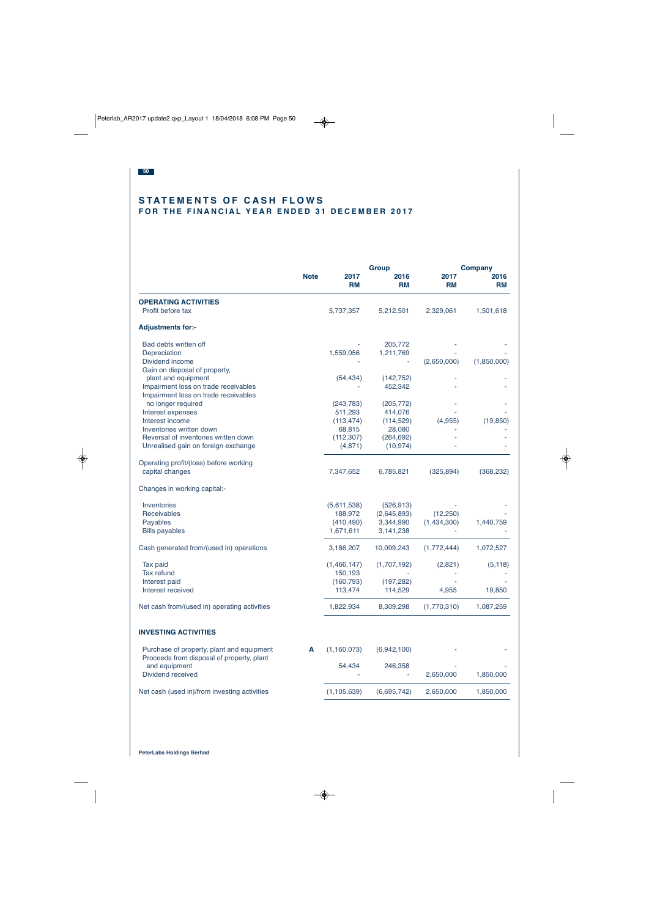## **STATEMENTS OF CASH FLOWS FOR THE FINANCIAL YEAR ENDED 31 DECEMBER 2017**

|                                                                                        |             | <b>Group</b>      |                   | <b>Company</b>    |                   |
|----------------------------------------------------------------------------------------|-------------|-------------------|-------------------|-------------------|-------------------|
|                                                                                        | <b>Note</b> | 2017<br><b>RM</b> | 2016<br><b>RM</b> | 2017<br><b>RM</b> | 2016<br><b>RM</b> |
| <b>OPERATING ACTIVITIES</b>                                                            |             |                   |                   |                   |                   |
| Profit before tax                                                                      |             | 5,737,357         | 5,212,501         | 2,329,061         | 1,501,618         |
| <b>Adjustments for:-</b>                                                               |             |                   |                   |                   |                   |
| Bad debts written off                                                                  |             |                   | 205,772           |                   |                   |
| Depreciation                                                                           |             | 1,559,056         | 1,211,769         |                   |                   |
| Dividend income                                                                        |             |                   |                   | (2,650,000)       | (1,850,000)       |
| Gain on disposal of property,                                                          |             |                   |                   |                   |                   |
| plant and equipment                                                                    |             | (54, 434)         | (142, 752)        |                   |                   |
| Impairment loss on trade receivables<br>Impairment loss on trade receivables           |             |                   | 452,342           |                   |                   |
| no longer required                                                                     |             | (243, 783)        | (205, 772)        |                   |                   |
| Interest expenses                                                                      |             | 511,293           | 414,076           |                   |                   |
| Interest income                                                                        |             | (113, 474)        | (114, 529)        | (4,955)           | (19, 850)         |
| Inventories written down                                                               |             | 68,815            | 28,080            |                   |                   |
| Reversal of inventories written down                                                   |             | (112, 307)        | (264, 692)        |                   |                   |
| Unrealised gain on foreign exchange                                                    |             | (4,871)           | (10, 974)         |                   |                   |
| Operating profit/(loss) before working                                                 |             |                   |                   |                   |                   |
| capital changes                                                                        |             | 7,347,652         | 6,785,821         | (325, 894)        | (368, 232)        |
| Changes in working capital:-                                                           |             |                   |                   |                   |                   |
| Inventories                                                                            |             | (5,611,538)       | (526, 913)        |                   |                   |
| Receivables                                                                            |             | 188,972           | (2,645,893)       | (12, 250)         |                   |
| Payables                                                                               |             | (410, 490)        | 3,344,990         | (1,434,300)       | 1,440,759         |
| <b>Bills payables</b>                                                                  |             | 1,671,611         | 3,141,238         |                   |                   |
| Cash generated from/(used in) operations                                               |             | 3,186,207         | 10,099,243        | (1,772,444)       | 1,072,527         |
| Tax paid                                                                               |             | (1,466,147)       | (1,707,192)       | (2,821)           | (5, 118)          |
| <b>Tax refund</b>                                                                      |             | 150,193           |                   |                   |                   |
| Interest paid                                                                          |             | (160, 793)        | (197, 282)        |                   |                   |
| Interest received                                                                      |             | 113,474           | 114,529           | 4,955             | 19,850            |
| Net cash from/(used in) operating activities                                           |             | 1,822,934         | 8,309,298         | (1,770,310)       | 1,087,259         |
| <b>INVESTING ACTIVITIES</b>                                                            |             |                   |                   |                   |                   |
| Purchase of property, plant and equipment<br>Proceeds from disposal of property, plant | A           | (1, 160, 073)     | (6,942,100)       |                   |                   |
| and equipment                                                                          |             | 54,434            | 246,358           |                   |                   |
| Dividend received                                                                      |             |                   |                   | 2,650,000         | 1,850,000         |
| Net cash (used in)/from investing activities                                           |             | (1, 105, 639)     | (6,695,742)       | 2,650,000         | 1,850,000         |
|                                                                                        |             |                   |                   |                   |                   |